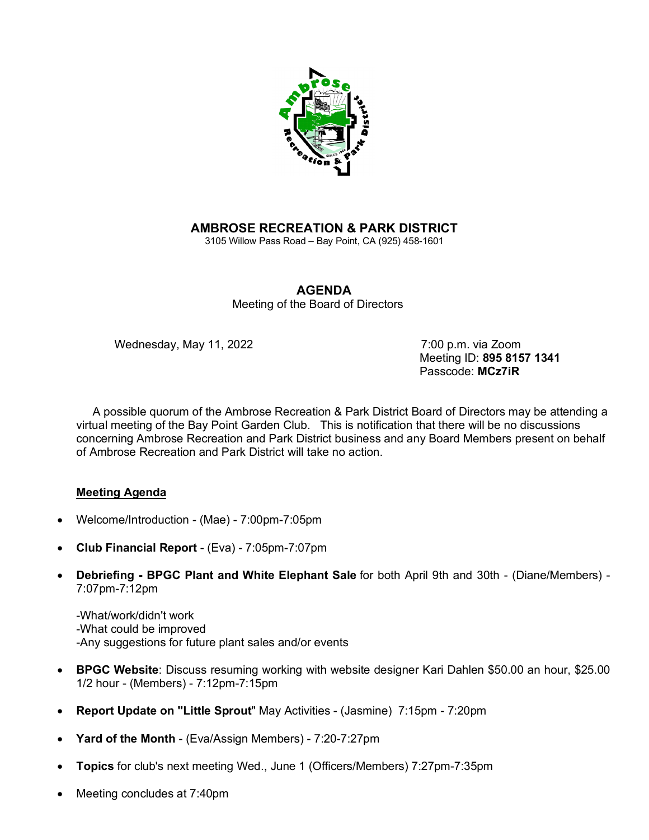

## **AMBROSE RECREATION & PARK DISTRICT**

3105 Willow Pass Road – Bay Point, CA (925) 458-1601

## **AGENDA**

Meeting of the Board of Directors

Wednesday, May 11, 2022 7:00 p.m. via Zoom

 Meeting ID: **895 8157 1341** Passcode: **MCz7iR**

 A possible quorum of the Ambrose Recreation & Park District Board of Directors may be attending a virtual meeting of the Bay Point Garden Club. This is notification that there will be no discussions concerning Ambrose Recreation and Park District business and any Board Members present on behalf of Ambrose Recreation and Park District will take no action.

## **Meeting Agenda**

- Welcome/Introduction (Mae) 7:00pm-7:05pm
- **Club Financial Report** (Eva) 7:05pm-7:07pm
- **Debriefing - BPGC Plant and White Elephant Sale** for both April 9th and 30th (Diane/Members) 7:07pm-7:12pm

-What/work/didn't work -What could be improved -Any suggestions for future plant sales and/or events

- **BPGC Website**: Discuss resuming working with website designer Kari Dahlen \$50.00 an hour, \$25.00 1/2 hour - (Members) - 7:12pm-7:15pm
- **Report Update on "Little Sprout**" May Activities (Jasmine) 7:15pm 7:20pm
- **Yard of the Month** (Eva/Assign Members) 7:20-7:27pm
- **Topics** for club's next meeting Wed., June 1 (Officers/Members) 7:27pm-7:35pm
- Meeting concludes at 7:40pm